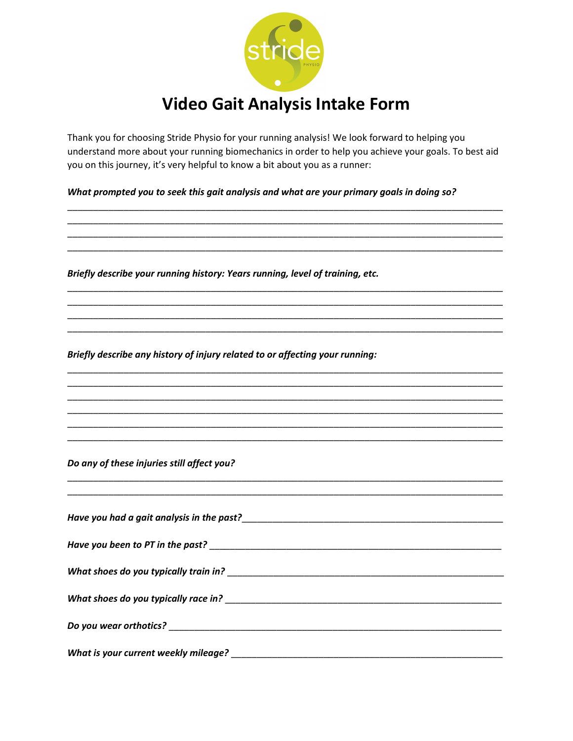

Thank you for choosing Stride Physio for your running analysis! We look forward to helping you understand more about your running biomechanics in order to help you achieve your goals. To best aid you on this journey, it's very helpful to know a bit about you as a runner:

What prompted you to seek this gait analysis and what are your primary goals in doing so?

Briefly describe your running history: Years running, level of training, etc.

Briefly describe any history of injury related to or affecting your running:

Do any of these injuries still affect you?

| Have you been to PT in the past?                                                                                                                                                                                               |  |
|--------------------------------------------------------------------------------------------------------------------------------------------------------------------------------------------------------------------------------|--|
| What shoes do you typically train in?                                                                                                                                                                                          |  |
|                                                                                                                                                                                                                                |  |
| Do you wear orthotics? University of the contract of the contract of the contract of the contract of the contract of the contract of the contract of the contract of the contract of the contract of the contract of the contr |  |
| What is your current weekly mileage?                                                                                                                                                                                           |  |